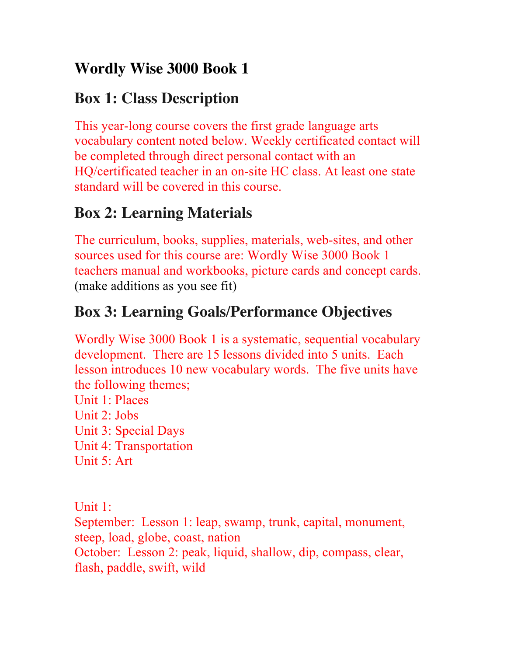## **Wordly Wise 3000 Book 1**

#### **Box 1: Class Description**

This year-long course covers the first grade language arts vocabulary content noted below. Weekly certificated contact will be completed through direct personal contact with an HQ/certificated teacher in an on-site HC class. At least one state standard will be covered in this course.

## **Box 2: Learning Materials**

The curriculum, books, supplies, materials, web-sites, and other sources used for this course are: Wordly Wise 3000 Book 1 teachers manual and workbooks, picture cards and concept cards. (make additions as you see fit)

# **Box 3: Learning Goals/Performance Objectives**

Wordly Wise 3000 Book 1 is a systematic, sequential vocabulary development. There are 15 lessons divided into 5 units. Each lesson introduces 10 new vocabulary words. The five units have the following themes;

Unit 1: Places Unit 2: Jobs Unit 3: Special Days Unit 4: Transportation Unit 5: Art

Unit 1: September: Lesson 1: leap, swamp, trunk, capital, monument, steep, load, globe, coast, nation October: Lesson 2: peak, liquid, shallow, dip, compass, clear, flash, paddle, swift, wild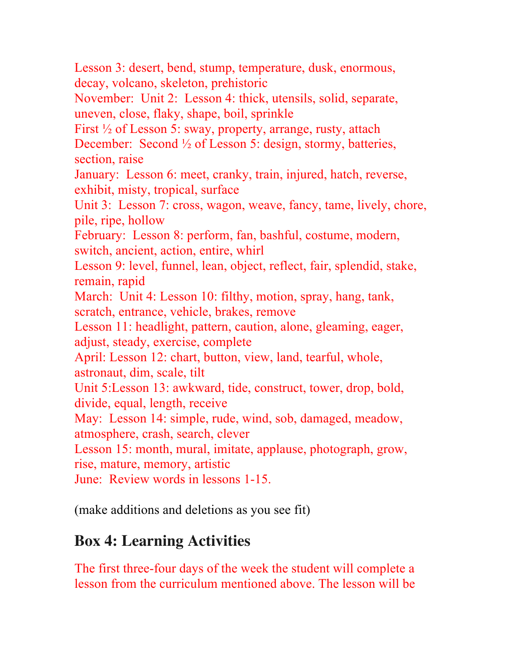Lesson 3: desert, bend, stump, temperature, dusk, enormous, decay, volcano, skeleton, prehistoric

November: Unit 2: Lesson 4: thick, utensils, solid, separate, uneven, close, flaky, shape, boil, sprinkle

First ½ of Lesson 5: sway, property, arrange, rusty, attach

December: Second ½ of Lesson 5: design, stormy, batteries, section, raise

January: Lesson 6: meet, cranky, train, injured, hatch, reverse, exhibit, misty, tropical, surface

Unit 3: Lesson 7: cross, wagon, weave, fancy, tame, lively, chore, pile, ripe, hollow

February: Lesson 8: perform, fan, bashful, costume, modern, switch, ancient, action, entire, whirl

Lesson 9: level, funnel, lean, object, reflect, fair, splendid, stake, remain, rapid

March: Unit 4: Lesson 10: filthy, motion, spray, hang, tank, scratch, entrance, vehicle, brakes, remove

Lesson 11: headlight, pattern, caution, alone, gleaming, eager, adjust, steady, exercise, complete

April: Lesson 12: chart, button, view, land, tearful, whole, astronaut, dim, scale, tilt

Unit 5:Lesson 13: awkward, tide, construct, tower, drop, bold, divide, equal, length, receive

May: Lesson 14: simple, rude, wind, sob, damaged, meadow, atmosphere, crash, search, clever

Lesson 15: month, mural, imitate, applause, photograph, grow, rise, mature, memory, artistic

June: Review words in lessons 1-15.

(make additions and deletions as you see fit)

#### **Box 4: Learning Activities**

The first three-four days of the week the student will complete a lesson from the curriculum mentioned above. The lesson will be